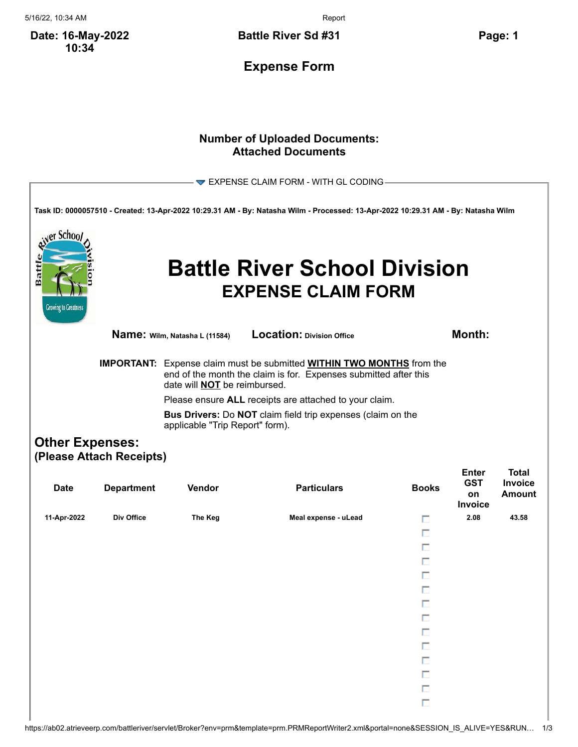5/16/22, 10:34 AM Report

**Date: 16-May-2022 10:34**

**Battle River Sd #31 Page: 1**

**Expense Form**

## **Number of Uploaded Documents: Attached Documents**

|                                                  |                          |                                                                                                                                                                                                                                                          | $\blacktriangleright$ EXPENSE CLAIM FORM - WITH GL CODING                                                                         |              |                                    |                          |  |
|--------------------------------------------------|--------------------------|----------------------------------------------------------------------------------------------------------------------------------------------------------------------------------------------------------------------------------------------------------|-----------------------------------------------------------------------------------------------------------------------------------|--------------|------------------------------------|--------------------------|--|
|                                                  |                          |                                                                                                                                                                                                                                                          | Task ID: 0000057510 - Created: 13-Apr-2022 10:29.31 AM - By: Natasha Wilm - Processed: 13-Apr-2022 10:29.31 AM - By: Natasha Wilm |              |                                    |                          |  |
| er Schoo<br>Battl<br><b>Growing to Greatness</b> |                          |                                                                                                                                                                                                                                                          | <b>Battle River School Division</b><br><b>EXPENSE CLAIM FORM</b>                                                                  |              |                                    |                          |  |
|                                                  |                          | Name: Wilm, Natasha L (11584)                                                                                                                                                                                                                            | <b>Location: Division Office</b>                                                                                                  |              | Month:                             |                          |  |
|                                                  |                          | <b>IMPORTANT:</b> Expense claim must be submitted <b>WITHIN TWO MONTHS</b> from the<br>end of the month the claim is for. Expenses submitted after this<br>date will <b>NOT</b> be reimbursed.<br>Please ensure ALL receipts are attached to your claim. |                                                                                                                                   |              |                                    |                          |  |
|                                                  |                          | Bus Drivers: Do NOT claim field trip expenses (claim on the<br>applicable "Trip Report" form).                                                                                                                                                           |                                                                                                                                   |              |                                    |                          |  |
| <b>Other Expenses:</b>                           |                          |                                                                                                                                                                                                                                                          |                                                                                                                                   |              |                                    |                          |  |
|                                                  | (Please Attach Receipts) |                                                                                                                                                                                                                                                          |                                                                                                                                   |              | <b>Enter</b>                       | <b>Total</b>             |  |
| <b>Date</b>                                      | <b>Department</b>        | Vendor                                                                                                                                                                                                                                                   | <b>Particulars</b>                                                                                                                | <b>Books</b> | <b>GST</b><br>on<br><b>Invoice</b> | Invoice<br><b>Amount</b> |  |
| 11-Apr-2022                                      | Div Office               | The Keg                                                                                                                                                                                                                                                  | Meal expense - uLead                                                                                                              | п            | 2.08                               | 43.58                    |  |
|                                                  |                          |                                                                                                                                                                                                                                                          |                                                                                                                                   | п            |                                    |                          |  |
|                                                  |                          |                                                                                                                                                                                                                                                          |                                                                                                                                   | п            |                                    |                          |  |
|                                                  |                          |                                                                                                                                                                                                                                                          |                                                                                                                                   | п            |                                    |                          |  |
|                                                  |                          |                                                                                                                                                                                                                                                          |                                                                                                                                   | п            |                                    |                          |  |
|                                                  |                          |                                                                                                                                                                                                                                                          |                                                                                                                                   | п            |                                    |                          |  |
|                                                  |                          |                                                                                                                                                                                                                                                          |                                                                                                                                   | ш<br>П       |                                    |                          |  |
|                                                  |                          |                                                                                                                                                                                                                                                          |                                                                                                                                   | П            |                                    |                          |  |
|                                                  |                          |                                                                                                                                                                                                                                                          |                                                                                                                                   | П            |                                    |                          |  |
|                                                  |                          |                                                                                                                                                                                                                                                          |                                                                                                                                   | П            |                                    |                          |  |
|                                                  |                          |                                                                                                                                                                                                                                                          |                                                                                                                                   | П            |                                    |                          |  |
|                                                  |                          |                                                                                                                                                                                                                                                          |                                                                                                                                   | П            |                                    |                          |  |
|                                                  |                          |                                                                                                                                                                                                                                                          |                                                                                                                                   | $\Box$       |                                    |                          |  |
|                                                  |                          |                                                                                                                                                                                                                                                          |                                                                                                                                   |              |                                    |                          |  |

https://ab02.atrieveerp.com/battleriver/servlet/Broker?env=prm&template=prm.PRMReportWriter2.xml&portal=none&SESSION\_IS\_ALIVE=YES&RUN… 1/3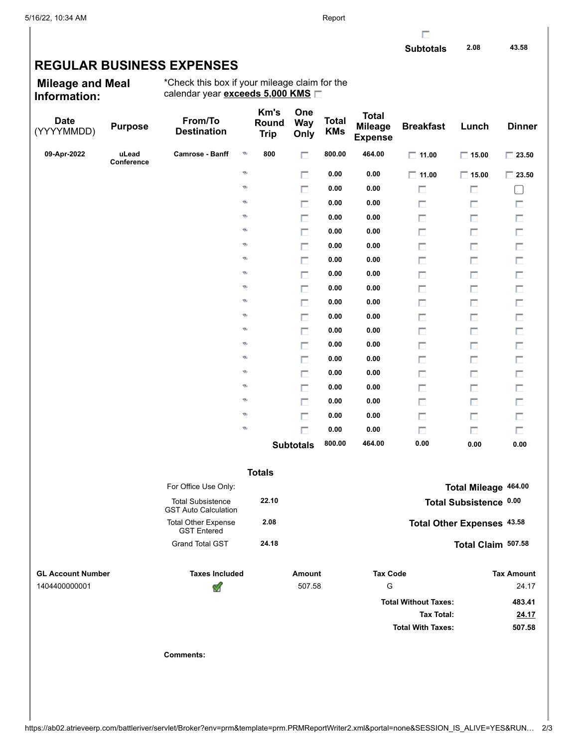## **REGULAR BUSINESS EXPENSES**

**Mileage and Meal Information:**

\*Check this box if your mileage claim for the calendar year **exceeds 5,000 KMS**

| <b>Date</b><br>(YYYYMMDD) | <b>Purpose</b>      | From/To<br><b>Destination</b>                           | Km's<br>Round<br><b>Trip</b> | One<br><b>Way</b><br>Only | <b>Total</b><br><b>KMs</b> | <b>Total</b><br><b>Mileage</b><br><b>Expense</b> | <b>Breakfast</b>            | Lunch                      | <b>Dinner</b>     |
|---------------------------|---------------------|---------------------------------------------------------|------------------------------|---------------------------|----------------------------|--------------------------------------------------|-----------------------------|----------------------------|-------------------|
| 09-Apr-2022               | uLead<br>Conference | Camrose - Banff                                         | ø<br>800                     | п                         | 800.00                     | 464.00                                           | $\Box$ 11.00                | $\Box$ 15.00               | $\Box$ 23.50      |
|                           |                     |                                                         | ø                            | п                         | 0.00                       | 0.00                                             | $\Box$ 11.00                | $\Box$ 15.00               | $\Box$ 23.50      |
|                           |                     |                                                         | ø                            | П                         | 0.00                       | 0.00                                             | П                           | П                          | L                 |
|                           |                     |                                                         | Ø,                           | п                         | 0.00                       | 0.00                                             | п                           | П                          | П                 |
|                           |                     |                                                         | Ø,                           | П                         | 0.00                       | 0.00                                             | П                           | П                          | П                 |
|                           |                     |                                                         | Ø,                           | п                         | 0.00                       | 0.00                                             | П                           | П                          | П                 |
|                           |                     |                                                         | Ø,                           | П                         | 0.00                       | 0.00                                             | П                           | П                          | $\Box$            |
|                           |                     |                                                         | Ø,                           | п                         | 0.00                       | 0.00                                             | П                           | п                          | П                 |
|                           |                     |                                                         | Ø,                           | П                         | 0.00                       | 0.00                                             | П                           | П                          | $\Box$            |
|                           |                     |                                                         | ø                            | п                         | 0.00                       | 0.00                                             | П                           | п                          | П                 |
|                           |                     |                                                         | Ø,                           | П                         | 0.00                       | 0.00                                             | П                           | П                          | $\Box$            |
|                           |                     |                                                         | Ø,                           | п                         | 0.00                       | 0.00                                             | П                           | п                          | П                 |
|                           |                     |                                                         | Ø,                           | П                         | 0.00                       | 0.00                                             | П                           | П                          | $\Box$            |
|                           |                     |                                                         | Ø,                           | п                         | 0.00                       | 0.00                                             | П                           | п                          | П                 |
|                           |                     |                                                         | Ø,                           | $\Box$                    | 0.00                       | 0.00                                             | П                           | П                          | $\Box$            |
|                           |                     |                                                         | Ø,                           | п                         | 0.00                       | 0.00                                             | П                           | п                          | П                 |
|                           |                     |                                                         | Ø,                           | П                         | 0.00                       | 0.00                                             | П                           | П                          | П                 |
|                           |                     |                                                         | Ø,                           | П                         | 0.00                       | 0.00                                             | П                           | п                          | П                 |
|                           |                     |                                                         | Ø,                           | $\Box$                    | 0.00                       | 0.00                                             | П                           | П                          | П                 |
|                           |                     |                                                         | Ø,                           | п                         | 0.00                       | 0.00                                             | п                           | П                          | П                 |
|                           |                     |                                                         |                              | <b>Subtotals</b>          | 800.00                     | 464.00                                           | 0.00                        | 0.00                       | 0.00              |
|                           |                     |                                                         | <b>Totals</b>                |                           |                            |                                                  |                             |                            |                   |
|                           |                     | For Office Use Only:                                    |                              |                           |                            |                                                  |                             | Total Mileage 464.00       |                   |
|                           |                     | <b>Total Subsistence</b><br><b>GST Auto Calculation</b> | 22.10                        |                           |                            |                                                  |                             | Total Subsistence 0.00     |                   |
|                           |                     | <b>Total Other Expense</b><br><b>GST Entered</b>        | 2.08                         |                           |                            |                                                  |                             | Total Other Expenses 43.58 |                   |
|                           |                     | <b>Grand Total GST</b>                                  | 24.18                        |                           |                            |                                                  |                             | Total Claim 507.58         |                   |
| <b>GL Account Number</b>  |                     | <b>Taxes Included</b>                                   |                              | <b>Amount</b>             |                            | <b>Tax Code</b>                                  |                             |                            | <b>Tax Amount</b> |
| 1404400000001             |                     | ⅆ                                                       |                              | 507.58                    |                            | G                                                |                             |                            | 24.17             |
|                           |                     |                                                         |                              |                           |                            |                                                  | <b>Total Without Taxes:</b> |                            | 483.41            |
|                           |                     |                                                         |                              |                           |                            |                                                  | <b>Tax Total:</b>           |                            | 24.17             |
|                           |                     |                                                         |                              |                           |                            |                                                  | <b>Total With Taxes:</b>    |                            | 507.58            |
|                           |                     | <b>Comments:</b>                                        |                              |                           |                            |                                                  |                             |                            |                   |